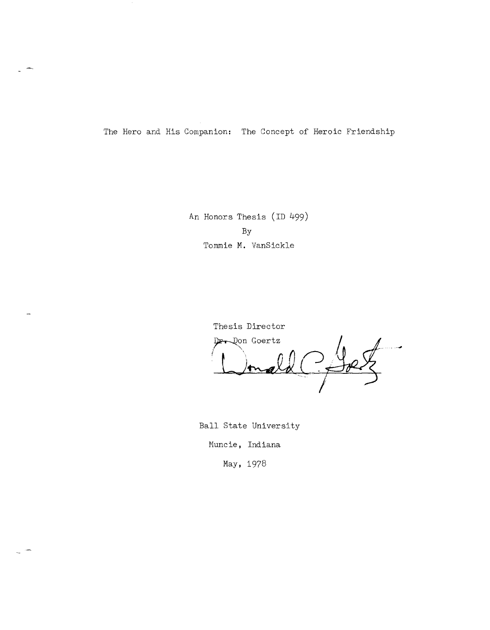The Hero and His Companion: The Concept of Heroic Friendship

An Honors Thesis (ID 499) By Tommie **M.** VanSickle

> Thesis Director Der Don Goertz <sup>i</sup>**L** ') *.Jf* <sup>0</sup>J~( -

Ball State University Muncie, Indiana

May, 1978

 $\sim$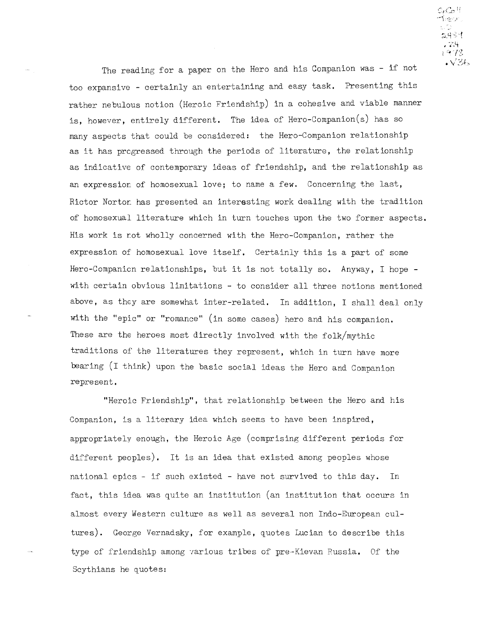$C_{\ell}C_{\mathcal{O}}$  !! ∽\`eor UD. 그림의역 , 74.  $\frac{1973}{18}$ 

The reading for a paper on the Hero and his Companion was - if not too expansive - certainly an entertaining and easy task. Presenting this rather nebulous notion (Heroic Friendship) in a cohesive and viable manner is, however, entirely different. The idea of Hero-Companion(s) has so many aspects that could be considered: the Hero-Companion relationship as it has progressed through the periods of literature, the relat ionship as indicative of contemporary ideas of friendship, and the relationship as an expression of homosexual love; to name a few. Concerning the last, Rictor Nortor: has presented an interesting work dealing with the tradition of homosexual literature which in turn touches upon the two former aspects. His work is not wholly concerned with the Hero-Companion, rather the expression of homosexual love itself. Certainly this is a part of some Hero-Companien relationships, but it is not totally so. Anyway, I hope with certain obvious limitations - to consider all three notions mentioned above, as they are somewhat inter-related. In addition, I shall deal only with the "epic" or "romance" (in some cases) hero and his companion. These are the heroes most directly involved with the folk/mythic traditions of the literatures they represent, which in turn have more bearing (I think) upon the basic social ideas the Hero and Companion represent.

"Heroic Friendship", that relationship between the Hero and his Companion, is a literary idea which seems to have been inspired, appropriately enough, the Heroic Age (comprising different periods for different peoples). It is an idea that existed among peoples whose national epics - if such existed - have not survived to this day. In fact, this idea was quite an institution (an institution that occurs in almost every Western culture as well as several non Indo-European cultures). George Vernadsky, for example, quotes Lucian to describe this type of friendship among various tribes of pre-Kievan Russia. Of the Scythians he quotes: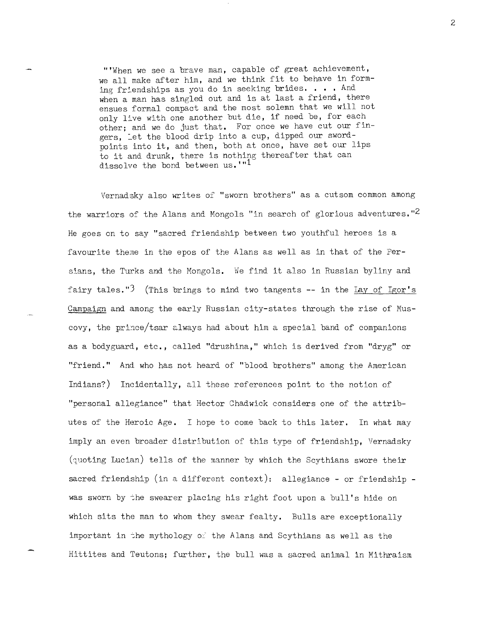'''When we see a brave man, capable of great achievement, we all make after him, and we think fit to behave in forming friendships as you do in seeking brides.  $\ldots$  . And when a man has singled out and is at last a friend, there ensues formal compact and the most solemn that we will not only live with one another but die, if need be, for each other; and we do just that. For once we have cut our fingers, Let the blood drip into a cup, dipped our swordpoints into it, and then, both at once, have set our lips to it and drunk, there is nothing thereafter that can dissolve the bond between us.<sup>'"1</sup>

Vernadsky also writes of "sworn brothers" as a cutsom common among the warriors of the Alans and Mongols "in search of glorious adventures."<sup>2</sup> He goes on to say "sacred friendship between two youthful heroes is a favourite theme in the epos of the Alans as well as in that of the Persians, the Turks and the Mongols. We find it also in Russian byliny and fairy tales. "3 (This brings to mind two tangents **--** in the lay of Igor's Campaign and among the early Russian city-states through the rise of Muscovy, the prince/tsar always had about him a special band of companions as a bodyguard, etc., called "druzhina," which is derived from "dryg" or "friend. " And who has not heard of "blood brothers" among the American Indians?) Incidentally, all these references point to the notion of "personal allegiance" that Hector Chadwick considers one of the attributes of the Heroic Age. I hope to come back to this later. In what may imply an even broader distribution of this type of friendship, Vernadsky  $(\text{quoting Lucian})$  tells of the manner by which the Scythians swore their sacred friendship (in a different context): allegiance - or friendship was sworn by the swearer placing his right foot upon a bull's hide on which sits the man to whom they swear fealty. Bulls are exceptionally important in the mythology of the Alans and Scythians as well as the Hittites and Teutons; further, the bull was a sacred animal in Mithraism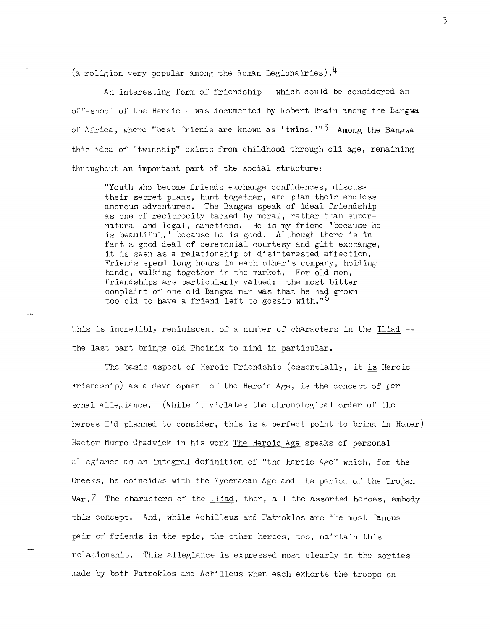(a religion very popular among the Roman Legionairies).  $4$ 

An interesting form of friendship - which could be considered an off-shoot of the Heroic - was documented by Robert Brain among the Bangwa of Africa. where "best friends are known as 'twins.'"<sup>5</sup> Among the Bangwa this idea of "twinship" exists from childhood through old age, remaining throughout an important part of the social structure:

"Youth who become friends exchange confidences, discuss their secret plans, hunt together, and plan their endless amorous adventures. The Bangwa speak of ideal friendship as one of reciprocity backed by moral, rather than supernatural and legal, sanctions. He is my friend 'because he is beautiful, because he is good. Although there is in fact a good deal of ceremonial courtesy and gift exchange, it is seen as a relationship of disinterested affection. Friends spend long hours in each other's company, holding hands, walking together in the market. For old men, friendships are particularly valued: the most bitter complaint of one old Bangwa man was that he had grown too old to have a friend left to gossip with."<sup>O</sup>

This is incredibly reminiscent of a number of characters in the Iliad - the last part brings old Phoinix to mind in particular.

The basic aspect of Heroic Friendship (essentially, it is Heroic Friendship) as a development of the Heroic Age, is the concept of personal allegiance. (While it violates the chronological order of the heroes I'd planned to consider, this is a perfect point to bring in Homer) Hector Munro Chadwick in his work The Heroic Age speaks of personal allegiance as an integral definition of "the Heroic Age" which, for the Greeks, he coincides with the Mycenaean Age and the period of the Trojan  $War.$  The characters of the Iliad, then, all the assorted heroes, embody this concept. And, while Achilleus and Patroklos are the most famous pair of friends in the epic, the other heroes, too, maintain this relationship. This allegiance is expressed most clearly in the sorties made by ooth Patroklos and Achilleus when each exhorts the troops on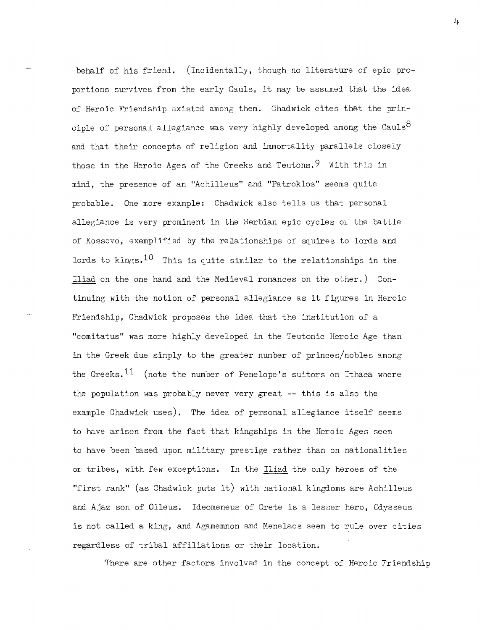behalf of his friend. (Incidentally, though no literature of epic proportions survives from the early Gauls, it may be assumed that the idea of Heroic Friendship existed among them. Chadwick cites that the principle of personal allegiance was very highly developed among the Gauls $^8$ and that their concepts of religion and immortality parallels closely those in the Heroic Ages of the Greeks and Teutons.  $9$  With this in mind, the presence of an "Achilleus" and "Patroklos" seems quite probable. One more example: Chadwick also tells us that personal allegiance is very prominent in the Serbian epic cycles of the battle of Kossovo, exemplified by the relationships of squires to lords and lords to kings.  $10$  This is quite similar to the relationships in the Iliad on the one hand and the Medieval romances on the other.) Continuing with the notion of personal allegiance as it figures in Heroic Friendship, Chadwick proposes the idea that the institution of a "comitatus" was more highly developed in the Teutonic Heroic Age than in the Greek due simply to the greater number of princes/nobles among the Greeks.<sup>11</sup> (note the number of Penelope's suitors on Ithaca where the population was probably never very great **--** this is also the example Chadwick uses). The idea of personal allegiance itself seems to have arisen from the fact that kingships in the Heroic Ages seem to have been based upon military prestige rather than on nationalities or tribes, with few exceptions. In the Iliad the only heroes of the "first rank" (as Chadwick puts it) with national kingdoms are Achilleus and Ajaz son of Oileus. Ideomeneus of Crete is a lesser hero, Odysseus is not called a king, and Agamemnon and Menelaos seem to rule over cities regardless of tribal affiliations or their location.

There are other factors involved in the concept of Heroic Friendship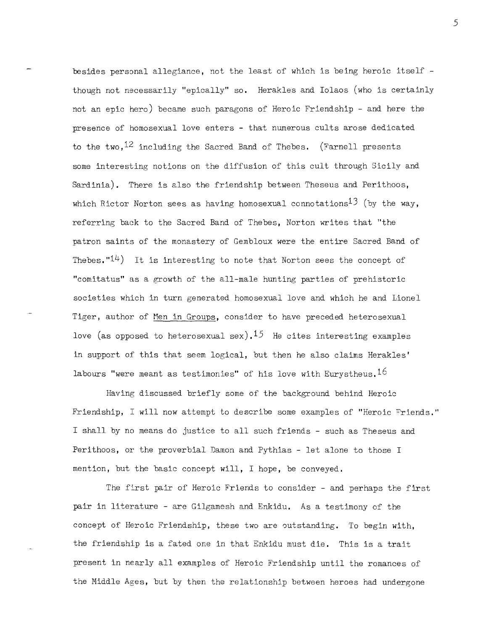besides personal allegiance, not the least of which is being heroic itself though not necessarily "epically" so. Herakles and Iolaos (who is certainly not an epic hero) became such paragons of Heroic Friendship - and here the presence of homosexual love enters - that numerous cults arose dedicated to the two,<sup>12</sup> including the Sacred Band of Thebes. (Farnell presents some interesting notions on the diffusion of this cult through Sicily and Sardinia). There is also the friendship between Theseus and Perithoos, which Rictor Norton sees as having homosexual connotations<sup>13</sup> (by the way. referring back to the Sacred Band of Thebes, Norton writes that "the patron saints of the monastery of Gembloux were the entire Sacred Band of Thebes. " $14$ ) It is interesting to note that Norton sees the concept of "comitatus" as a growth of the all-male hunting parties of prehistoric societies which in turn generated homosexual love and which he and Lionel Tiger, author of Men in Groups, consider to have preceded heterosexual love (as opposed to heterosexual sex).<sup>15</sup> He cites interesting examples in support of this that seem logical, but then he also claims Herakles' labours "were meant as testimonies" of his love with Eurystheus.  $16$ 

Having discussed briefly some of the background behind Heroic Friendship, I will now attempt to describe some examples of "Heroic Friends." I shall by no means do justice to all such friends - such as Theseus and Perithoos, or the proverbial Damon and Pythias - let alone to those I mention, but the basic concept will, I hope, be conveyed.

The first pair of Heroic Friends to consider - and perhaps the first pair in literature - are Gilgamesh and Enkidu. As a testimony of the concept of Heroic Friendship, these two are outstanding. To begin with, the friendship is a fated one in that Enkidu must die. This is a trait present in nearly all examples of Heroic Friendship until the romances of the Middle Ages, but by then the relationship between heroes had undergone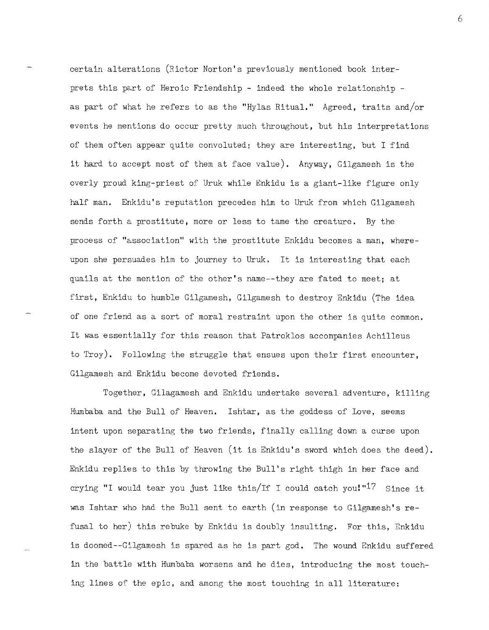certain alterations (Rictor Norton's previously mentioned book interprets this part of Heroic Friendship - indeed the whole relationship as part of what he refers to as the "Hylas Ritual." Agreed, traits and/or events he mentions do occur pretty much throughout, but his interpretations of them often appear quite convoluted; they are interesting, but I find it hard to accept most of them at face value). Anyway, Gilgamesh is the overly proud king-priest of Uruk while Enkidu is a giant-like figure only half man. Enkidu's reputation precedes him to Uruk from which Gilgamesh sends forth a prostitute, more or less to tame the creature. By the process of "association" with the prostitute Enkidu becomes a man, whereupon she persuades him to journey to Uruk. It is interesting that each quails at the mention of the other's name--they are fated to meet: at first, Enkidu to humble Gilgamesh, Gilgamesh to destroy Enkidu (The idea of one friend as a sort of moral restraint upon the other is quite common. It was essentially for this reason that Patroklos accompanies Achilleus to Troy). Following the struggle that ensues upon their first encounter, Gilgamesh and Enkidu become devoted friends.

Together, Gilagamesh and Enkidu undertake several adventure, killing Humbaba and the Bull of Heaven. Ishtar, as the goddess of Love, seems intent upon separating the two friends, finally calling down a curse upon the slayer of the Bull of Heaven (it is Enkidu' s sword which does the deed). Enkidu replies to this by throwing the Bull's right thigh in her face and crying "I would tear you just like this/If I could catch you!"<sup>17</sup> Since it was Ishtar who had the Bull sent to earth (in response to Gilgamesh's refusal to her) this rebuke by Enkidu is doubly insulting. For this, Enkidu is doomed--Gilgamesh is spared as he is part god. The wound Enkidu suffered in the battle with Humbaba worsens and he dies, introducing the most touching lines of the epic, and among the most touching in all literature: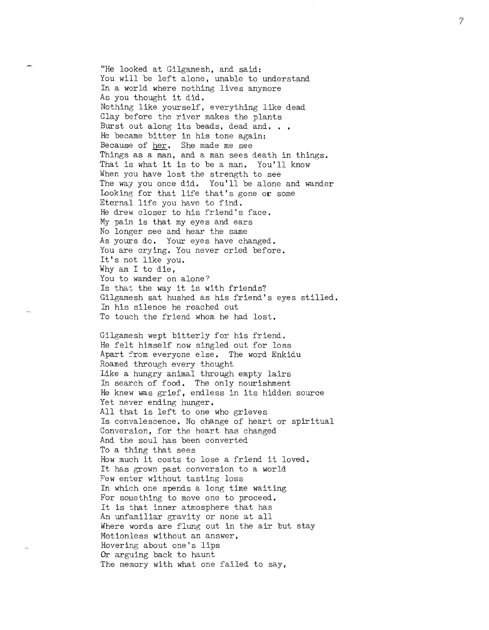"He looked at Gilgamesh, and said: You will be left alone, unable to understand In a world where nothing lives anymore As you thought it did. Nothing like yourself, everything like dead Clay before the river makes the plants Burst out along its beads, dead and... He became bitter in his tone again: Because of her. She made me see Things as a man, and a man sees death in things. That is what it is to be a man. You'll know When you have lost the strength to see The way you once did. You'll be alone and wander looking for that life that's gone or some Eternal life you have to find. He drew closer to his friend's face. My pain is that my eyes and ears No longer see and hear the same As yours do. Your eyes have changed. You are crying. You never cried before. It's not like you. Why am I to die, You to wander on alone? Is that the way it is with friends? Gilgamesh sat hushed as his friend's eyes stilled. In his silence he reached out To toueh the friend whom he had lost.

Gilgamesh wept bitterly for his friend. He felt himself now singled out for loss Apart from everyone else. The word Enkidu Roamed through every thought Like a hungry animal through empty lairs In search of food. The only nourishment He knew was grief, endless in its hidden source Yet never ending hunger. All that is left to one who grieves Is convalescence. No change of heart or spiritual Conversion, for the heart has changed And the soul has been converted To a thing that sees How much it costs to lose a friend it loved. It has grown past conversion to a world Few enter without tasting loss In which one spends a long time waiting For something to move one to proceed. It is that inner atmosphere that has An unfamiliar gravity or none at all Where words are flung out in the air but stay Motionless without an answer, Hovering about one's lips Or arguing back to haunt The memory with what one failed to say,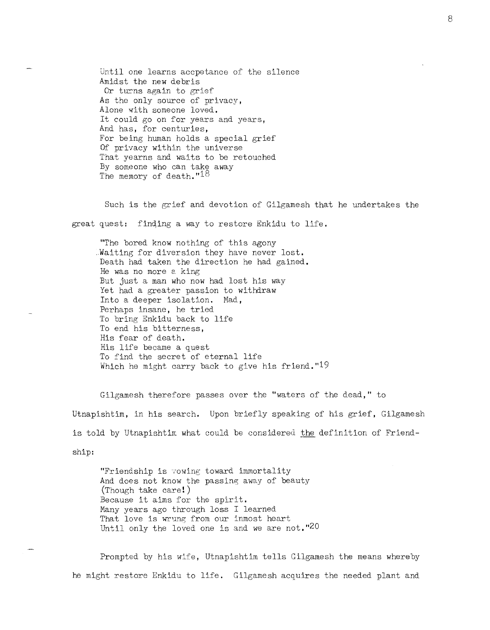Until one learns accpetance of the silence Amidst the new debris Or turns again to grief As the only source of privacy, Alone with someone loved. It could go on for years and years, And has, for centuries, For being human holds a special grief Of privacy within the universe That yearns and waits to be retouched By someone who can take away The memory of death."<sup>18</sup>

Such is the grief and devotion of Gilgamesh that he undertakes the great quest: finding a way to restore Enkidu to life.

"The bored know nothing of this agony Waiting for diversion they have never lost. Death had taken the direction he had gained. He was no more eking But just a man who now had lost his way Yet had a greater passion to withdraw Into a deeper isolation. Had, Perhaps insane, he tried To bring Enkidu back to life To end his bitterness, His fear of death. His life became a quest To find the secret of eternal life Which he might carry back to give his friend. " $19$ 

Gilgamesh therefore passes over the "waters of the dead," to Utnapishtim, in his search. Upon briefly speaking of his grief, Gilgamesh is told by Utnapishtim what could be considered the definition of Friendship:

"Friendship is vowing toward immortality And does not know the passing away of beauty (Though take care!) Because it aims for the spirit. Many years ago through loss I learned That love is wrung from our inmost heart Until only the loved one is and we are not."20

Prompted by his wife, Utnapishtim tells Gilgamesh the means whereby he might restore Enkidu to life. Gilgamesh acquires the needed plant and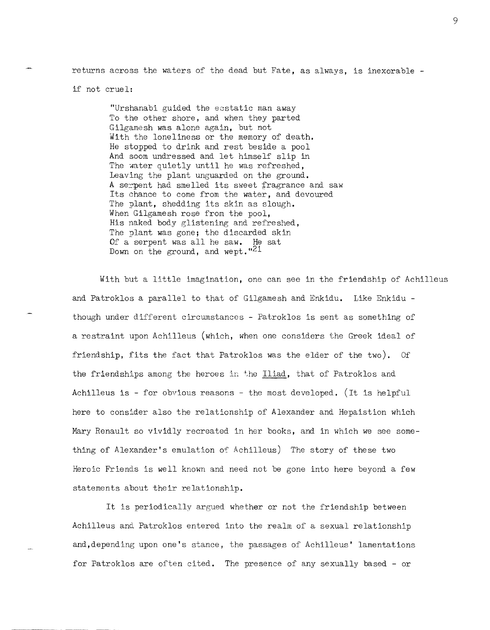returns across the waters of the dead but Fate, as always, is inexorable -

if not cruel:

"Urshanabi guided the ecstatic man away To the other shore, and when they parted Gilgamesh was alone again, but not With the loneliness or the memory of death. He stopped to drink and rest beside a pool And soom undressed and let himself slip in The water quietly until he was refreshed, Leaving the plant unguarded on the ground. A serpent had smelled its sweet fragrance and saw Its chance to come from the water, and devoured The plant, shedding its skin as slough. When Gilgamesh rose from the pool, His naked body glistening and refreshed, The plant was gone; the discarded skin Of a serpent was all he saw. He sat Down on the ground, and wept.  $"^{21}$ 

With but a little imagination, one can see in the friendship of Achilleus and Patroklos a parallel to that of Gilgamesh and Enkidu. Like Enkidu though under different circumstances - Patroklos is sent as something of a restraint upon Achilleus (which, when one considers the Greek ideal of friendship, fits the fact that Patroklos was the elder of the two). Of the friendships among the heroes in the Iliad, that of Patroklos and Achilleus is - for obvious reasons - the most developed. (It is helpful here to consider also the relationship of Alexander and Hepaistion which Mary Renault so vividly recreated in her books, and in which we see something of Alexander's emulation of Achilleus) The story of these two Heroic Friends is well known and need not be gone into here beyond a few statements about their relationship.

It is periodically argued whether or not the friendship between Achilleus and Patroklos entered into the realm of a sexual relationship and,depending upon one's stance, the passages of Achilleus' lamentations for Patroklos are often cited. The presence of any sexually based - or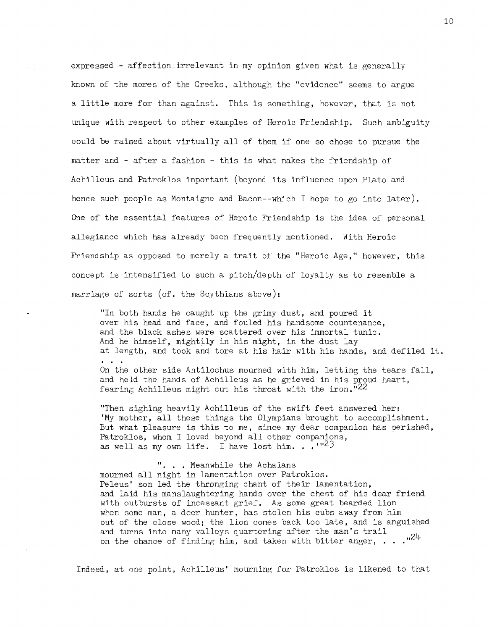expressed - affection irrelevant in my opinion given what is generally known of the mores of the Greeks, although the "evidence" seems to argue a little more for than against. This is something, however, that is not unique with respect to other examples of Heroic Friendship. Such ambiguity could be raised about virtually all of them if one so chose to pursue the matter and - after a fashion - this is what makes the friendship of Achilleus and Patroklos important (beyond its influence upon Plato and hence such people as Montaigne and Bacon--which I hope to go into later). One of the essential features of Heroic Friendship is the idea of personal allegiance which has already been frequently mentioned. With Heroic Friendship as opposed to merely a trait of the "Heroic Age," however, this concept is intensified to such a pitch/depth of loyalty as to resemble a marriage of sorts (cf. the Scythians above):

"In both hands he caught up the grimy dust, and poured it over his head and face, and fouled his handsome countenance, and the black ashes were scattered over his immortal tunic. And he himself, mightily in his might, in the dust lay at length, and took and tore at his hair with his hands, and defiled it. On the other side Antilochus mourned with him, letting the tears fall, and held the hands of Achilleus as he grieved in his proud heart, fearing Achilleus might cut his throat with the iron. $122$ 

"Then sighing heavily Achilleus of the swift feet answered her: 'Ny mother, all these things the Olympians brought to accomplishment. But what pleasure is this to me, since my dear companion has perished, Patroklos, whom I loved beyond all other companions, as well as my ovm. life. I have lost him. . .' ,,23

". . . Meanwhile the Achaians mourned all night in lamentation over Patroklos. Peleus' son led the thronging chant of their lamentation, and laid his manslaughtering hands over the chest of his dear friend with outbursts of incessant grief. As some great bearded lion when some man, a deer hunter, has stolen his cubs away from him out of the close wood; the lion comes back too late, and is anguished and turns into many valleys quartering after the man's trail on the chance of finding him, and taken with bitter anger,  $\ldots$  ...<sup>124</sup>

Indeed, at one point, Achilleus' mourning for Patroklos is likened to that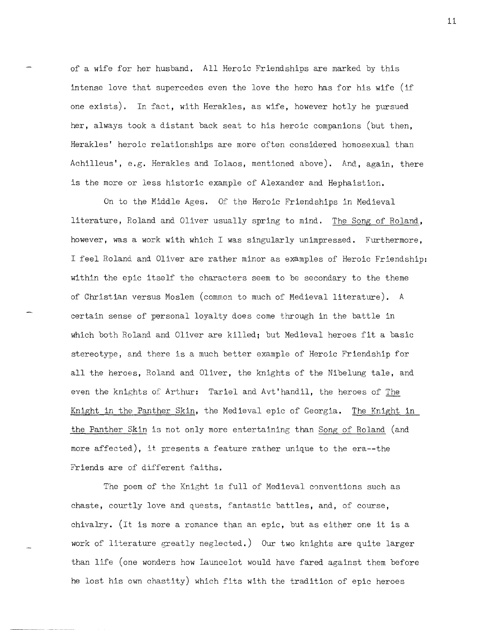of a wife for her husband. All Heroic Friendships are marked by this intense love that supercedes even the love the hero has for his wife (if one exists). In fact, with Herakles, as wife, however hotly he pursued her, always took a distant back seat to his heroic companions (but then, Herakles' heroic relationships are more often considered homosexual than Achilleus', e.g. Herakles and Iolaos, mentioned above). And, again, there is the more or less historic example of Alexander and Hephaistion.

On to the Middle Ages. Of the Heroic Friendships in Medieval literature, Roland and Oliver usually spring to mind. The Song of Roland, however, was a work with which I was singularly unimpressed. Furthermore, I feel Roland and Oliver are rather minor as examples of Heroic Friendship: within the epic itself the characters seem to be secondary to the theme of Christian versus Moslem (common to much of Medieval literature). A certain sense of personal loyalty does come through in the battle in which both Roland and Oliver are killed; but Medieval heroes fit a basic stereotype, and there is a much better example of Heroic Friendship for all the heroes, Roland and Oliver, the knights of the Nibelung tale, and even the knights of Arthur: Tariel and Avt'handil, the heroes of The Knight in the Panther Skin, the Medieval epic of Georgia. The Knight in the Panther Skin is not only more entertaining than Song of Roland (and more affected), it presents a feature rather unique to the era--the Friends are of different faiths.

The poem of the Knight is full of Medieval conventions such as chaste, courtly love and quests, fantastic battles, and, of course, chivalry. (It is more a romance than an epic, but as either one it is a work of literature greatly neglected.) Our two knights are quite larger than life (one wonders how Launcelot would have fared against them before he lost his own chastity) which fits with the tradition of epic heroes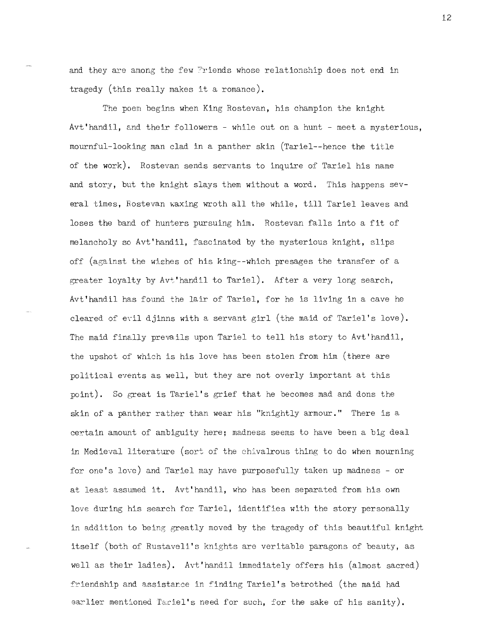and they are among the few Friends whose relationship does not end in tragedy (this really makes it a romance).

The poem begins when King Rostevan, his champion the knight Avt' handil, and their followers - while out on a hunt - meet a mysterious, mournful-looking man clad in a panther skin (Tariel--hence the title of the work). Rostevan sends servants to inquire of Tariel his name and story, but the knight slays them without a word. This happens several times, Rostevan waxing wroth all the while, till Tariel leaves and loses the band of hunters pursuing him. Rostevan falls into a fit of melancholy so Avt'handil, fascinated by the mysterious knight, slips off (against the wishes of his king--which presages the transfer of a greater loyalty by Avt'handil to Tariel). After a very long search, Avt' handil has found the lair of Tariel, for he is living in a cave he cleared of evil djinns with a servant girl (the maid of Tariel's love). The maid finally prevails upon Tariel to tell his story to Avt'handil, the upshot of which is his love has been stolen from him (there are political events as well, but they are not overly important at this point). So great is Tariel's grief that he becomes mad and dons the skin of a panther rather than wear his "knightly armour." There is a certain amount of ambiguity here; madness seems to have been a big deal in Medieval literature (sort of the chivalrous thing to do when mourning for one's love) and Tariel may have purposefully taken up madness - or at least assumed it. Avt'handil, who has been separated from his own love during his search for Tariel, identifies with the story personally in addition to being greatly moved by the tragedy of this beautiful knight itself (both of Rustaveli's knights are veritable paragons of beauty, as well as their ladies). Avt' handil immediately offers his (almost sacred) friendship and assistance in finding Tariel's betrothed (the maid had earlier mentioned Tariel's need for such, for the sake of his sanity).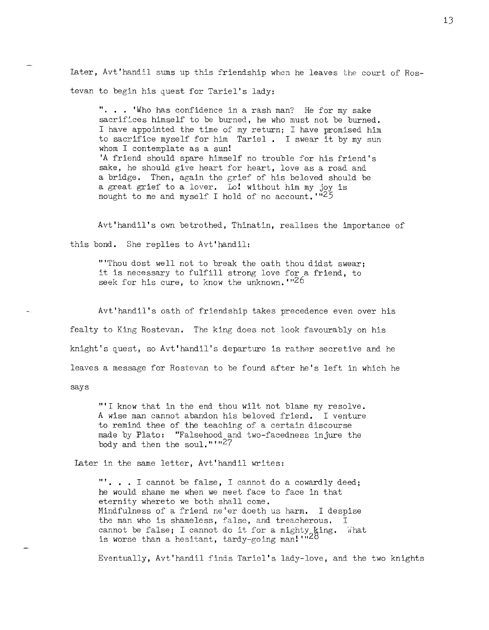later, Avt'handil sums up this friendship when he leaves the court of Rostevan to begin his quest for Tariel's lady:

"... 'Who has confidence in a rash man? He for my sake sacrifices himself to be burned, he who must not be burned. I have appointed the time of my return; I have promised him to sacrifice myself for him Tariel. I swear it by my sun whom I contemplate as a sun! 'A friend should spare himself no trouble for his friend's sake, he should give heart for heart, love as a road and a bridge. Then, again the grief of his beloved should be a great grief to a lover. Lo! without him my joy is nought to me and myself I hold of no account. "25

Avt'handil's own betrothed, Thinatin, realises the importance of this bond. She replies to Avt'handil:

"'Thou dost well not to break the oath thou didst swear: it is necessary to fulfill strong love for a friend, to seek for his cure, to know the unknown.  $126$ 

Avt'handil's oath of friendship takes precedence even over his fealty to King Rostevan. The king does not look favourably on his knight's Quest, so Avt'handil's departure is rather secretive and he leaves a message for Rostevan to be found after he's left in which he says

"'I know that in the end thou wilt not blame my resolve. A wise man cannot abandon his beloved friend. I venture to remind thee of the teaching of a certain discourse made by Plato: "Falsehood and two-facedness injure the body and then the soul." $1.27$ 

Later in the same letter, Avt'handil writes:

"'. . . I cannot be false, I cannot do a cowardly deed; he would shame me when we meet face to face in that eternity whereto we both shall come, Mindfulness of a friend ne'er doeth us harm. I despise the man who is shameless, false, and treacherous. I cannot be false; I cannot do it for a mighty king. What is worse than a hesitant, tardy-going man!  $1.28$ 

Eventually, Avt'handil finds Tariel's lady-love, and the two knights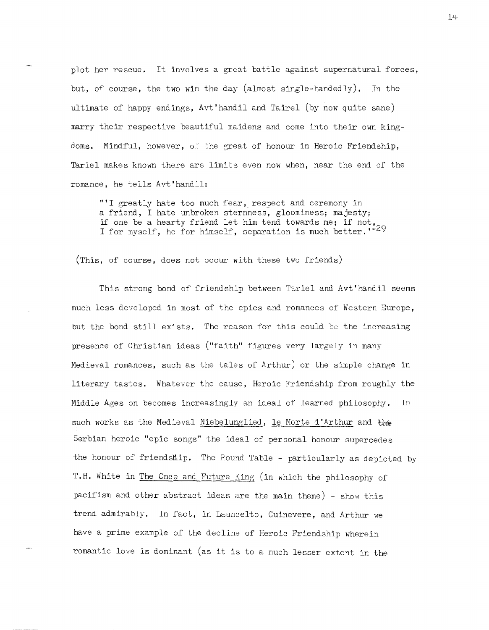plot her reseue. It involves a great battle against supernatural forces, but, of course, the two win the day (almost single-handedly). In the ultimate of happy endings, Avt'handil and Tairel (by now quite sane) marry their respective beautiful maidens and come into their own kingdoms. Mindful, however, of the great of honour in Heroic Friendship, Tariel makes known there are limits even now when, near the end of the romance, he tells Avt'handil:

"'I greatly hate too much fear, respect and ceremony in a friend, I hate unbroken sternness, gloominess; majesty; if one be a hearty friend let him tend towards me; if not, I for myself, he for himself, separation is much better. "29

(This, of course, does not occur with these two friends)

This strong bond of friendship between Tariel and Avt' handil seems much less developed in most of the epics and romances of Western Europe, but the bond still exists. The reason for this could be the increasing presence of Christian ideas ("faith" figures very largely in many Medieval romances, such as the tales of Arthur) or the simple change in literary tastes. Whatever the cause, Heroic Friendship from roughly the Middle Ages on becomes increasingly an ideal of learned philosophy. In such works as the Medieval Niebelunglied, le Morte d'Arthur and the Serbian heroic "epic songs" the ideal of personal honour supercedes the honour of friendship. The Round Table - particularly as depicted by T.H. White in The Once and Future King (in which the philosophy of pacifism and other abstract ideas are the main theme) - show this trend admirably. In fact, in Launcelto, Guinevere, and Arthur we have a prime example of the decline of Heroic Friendship wherein romantic love is dominant (as it is to a much lesser extent in the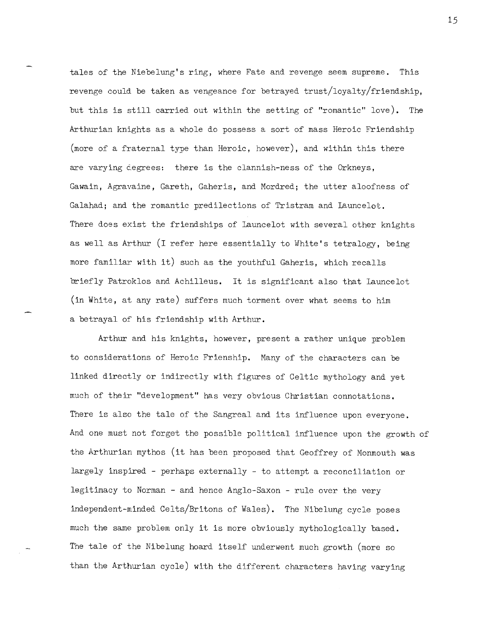tales of the Niebelung's ring, where Fate and revenge seem supreme. This revenge could be taken as vengeance for betrayed trust/loyalty/friendship, but this is still carried out within the setting of "romantic" love). The Arthurian knights as a whole do possess a sort of mass Heroic Friendship (more of a fraternal type than Heroic, however), and within this there are varying cegrees: there is the clannish-ness of the Orkneys, Gawain, Agravaine, Gareth, Gaheris, and Mordred; the utter aloofness of Galahad; and the romantic predilections of Tristram and launcelot. There does exist the friendships of launcelot with several other knights as well as Arthur (I refer here essentially to White's tetralogy, being more familiar with it) such as the youthful Gaheris, which recalls briefly Patroklos and Achilleus. It is significant also that launcelot (in White, at any rate) suffers much torment over what seems to him a betrayal of his friendship with Arthur.

Arthur and his knights, however, present a rather unique problem to considerations of Heroic Frienship. Many of the characters can be linked directly or indirectly with figures of Celtic mythology and yet much of their "development" has very obvious Christian connotations. There is also the tale of the Sangreal and its influence upon everyone. And one must not forget the possible political influence upon the growth of the Arthurian mythos (it has been proposed that Geoffrey of Monmouth was largely inspired - perhaps externally - to attempt a reconciliation or legitimacy to Norman - and hence Anglo-Saxon - rule over the very independent-minded Celts/Britons of Wales). The Nibelung cycle poses much the same problem only it is more obviously mythologically based. The tale of the Nibelung hoard itself underwent much growth (more so than the Arthurian cycle) with the different characters having varying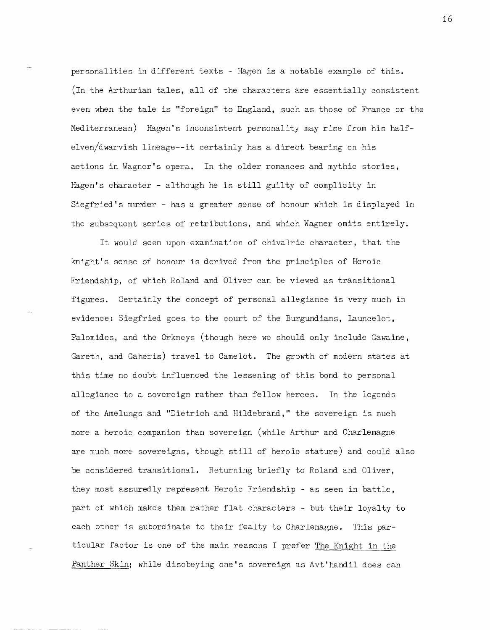personalities in different texts - Hagen is a notable example of this. (In the Arthurian tales, all of the characters are essentially consistent even when the tale is "foreign" to England, such as those of France or the Mediterranean) Hagen's inconsistent personality may rise from his halfelven/dwarvish lineage--it certainly has a direct bearing on his actions in Wagner's opera. In the older romances and mythic stories, Hagen's character - although he is still guilty of complicity in Siegfried's murder - has a greater sense of honour which is displayed in the subsequent series of retributions, and which Wagner omits entirely.

It would seem upon examination of chivalric character, that the knight's sense of honour is derived from the principles of Heroic Friendship, of which Roland and Oliver can be viewed as transitional figures. Certainly the concept of personal allegiance is very much in evidence: Siegfried goes to the court of the Burgundians, launcelot, Palomides, and the Orkneys (though here we should only include Gawaine, Gareth, and Gaheris) travel to Camelot. The growth of modern states at this time no doubt influenced the lessening of this bond to personal allegiance to a sovereign rather than fellow heroes. In the legends of the Amelungs and "Dietrich and Hildebrand," the sovereign is much more a heroic companion than sovereign (while Arthur and Charlemagne are much more sovereigns, though still of heroic stature) and could also be considered transitional. Returning briefly to Roland and Oliver, they most assuredly represent Heroic Friendship - as seen in battle, part of which makes them rather flat characters - but their loyalty to each other is subordinate to their fealty to Charlemagne. This particular factor is one of the main reasons I prefer The Knight in the Panther Skin; while disobeying one's sovereign as Avt'handil does can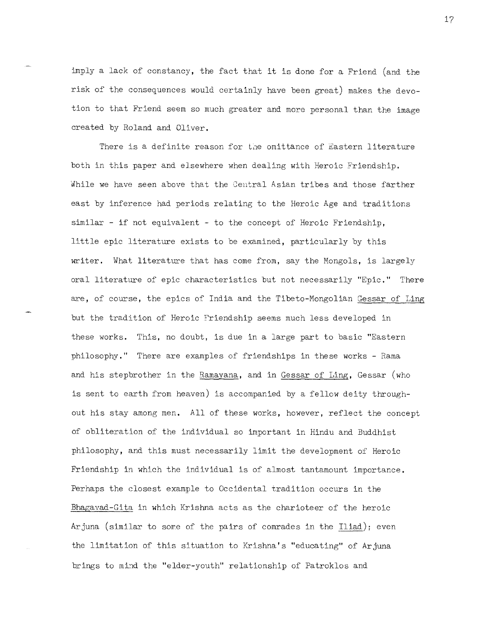imply a lack of constancy, the fact that it is done for a Friend (and the risk of the consequences would certainly have been great) makes the devotion to that Friend seem so much greater and more personal than the image created by Roland and Oliver.

There is a definite reason for the omittance of Eastern literature both in this paper and elsewhere when dealing with Heroic Friendship. While we have seen above that the Central Asian tribes and those farther east by inference had periods relating to the Heroic Age and traditions  $s$ imilar - if not equivalent - to the concept of Heroic Friendship, little epic literature exists to be examined, particularly by this writer. What literature that has come from, say the Mongols, is largely oral literature of epic characteristics but not necessarily "Epic." There are, of course, the epics of India and the Tibeto-Mongolian Gessar of Ling but the tradition of Heroic Friendship seems much less developed in these works. This, no doubt, is due in a large part to basic "Eastern philosophy." There are examples of friendships in these works - Rama and his stepbrother in the Ramayana, and in Gessar of Ling, Gessar (who is sent to earth from heaven) is accompanied by a fellow deity throughout his stay among men. All of these works, however, reflect the concept of obliteration of the individual so important in Hindu and Buddhist philosophy, and this must necessarily limit the development of Heroic Friendship in which the individual is of almost tantamount importance. Perhaps the closest example to Occidental tradition occurs in the Bhagavad-Gita in which Krishna acts as the charioteer of the heroic Arjuna (similar to some of the pairs of comrades in the Iliad); even the limitation of this situation to Krishna's "educating" of Arjuna brings to mind the "elder-youth" relationship of Patroklos and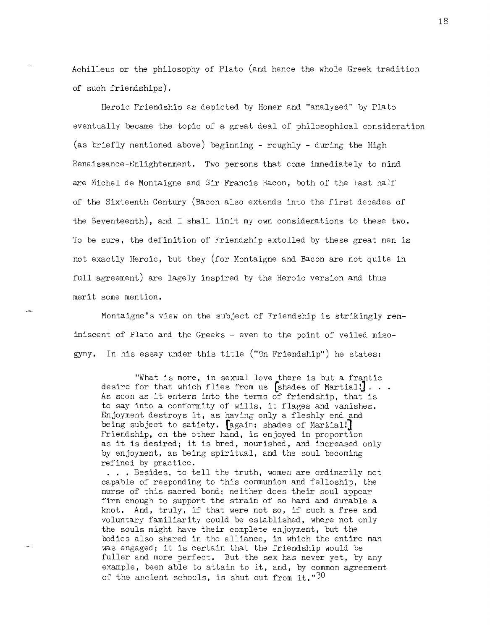Achilleus or the philosophy of Plato (and hence the whole Greek tradition of such friendships).

Heroic Friendship as depicted by Homer and "analysed" by Plato eventually became the topic of a great deal of philosophical consideration (as briefly nentioned above) beginning - roughly - during the High Renaissance-Enlightenment. Two persons that come immediately to mind are Michel de Montaigne and Sir Francis Bacon, both of the last half of the Sixteenth Century (Bacon also extends into the first decades of the Seventeenth), and I shall limit my own considerations to these two. To be sure, the definition of Friendship extolled by these great men is not exactly Heroic, but they (for Montaigne and Bacon are not quite in full agreement) are lagely inspired by the Heroic version and thus merit some mention.

Montaigne's view on the subject of Friendship is strikingly reminiscent of Plato and the Greeks - even to the point of veiled misogyny. In his essay under this title (" $\mathfrak{m}$  Friendship") he states:

"what is more, in sexual love there is but a frantic desire for that which flies from us [shades of Martial!]. . . As soon as it enters into the terms of friendship, that is to say into a conformity of wills, it flages and vanishes. Enjoyment destroys it, as having only a fleshly end and being subject to satiety. [again: shades of Martial!] Friendship, on the other hand, is enjoyed in proportion as it is desired; it is bred, nourished, and increased only by enjoyment, as being spiritual, and the soul becoming refined by practice.

. . . Besides, to tell the truth, women are ordinarily not capable of responding to this communion and felloship, the nurse of this sacred bond; neither does their soul appear firm enough to support the strain of so hard and durable a knot. And, truly, if that were not so, if such a free and voluntary familiarity could be established, where not only the souls might have their complete enjoyment, but the bodies also shared in the alliance, in which the entire man was engaged; it is certain that the friendship would be fuller and more perfect. But the sex has never yet, by any example, been able to attain to it, and, by common agreement of the ancient schools, is shut out from it." $30$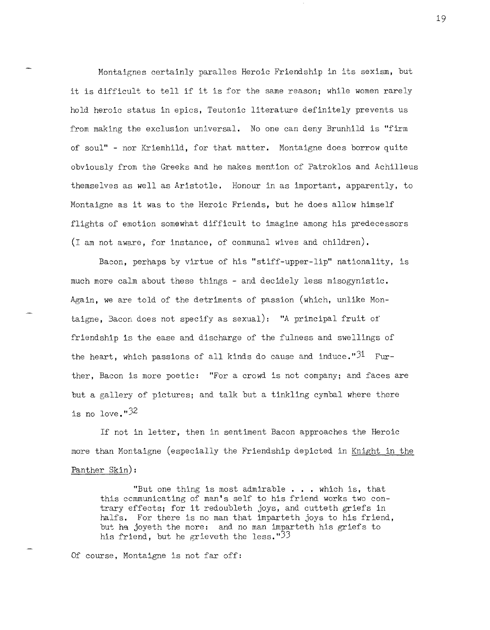Montaignes certainly paralles Heroic Friendship in its sexism, but it is difficult to tell if it is for the same reason; while women rarely hold heroic status in epics, Teutonic literature definitely prevents us from making the exclusion universal. No one can deny Brunhild is "firm of soul" - nor Kriemhild, for that matter. Montaigne does borrow quite obviously from the Greeks and he makes mention of Patroklos and Achilleus themselves as well as Aristotle. Honour in as important, apparently, to Montaigne as it was to the Heroic Friends, but he does allow himself flights of emotion somewhat difficult to imagine among his predecessors (I am not aware, for instance, of communal wives and children).

Bacon, perhaps by virtue of his "stiff-upper-lip" nationality, is much more calm about these things - and decidely less misogynistic. Again, we are told of the detriments of passion (which, unlike Montaigne, 3acon does not specify as sexual): **"A** principal fruit of friendship is the ease and discharge of the fulness and swellings of the heart, which passions of all kinds do cause and induce." $31$  Further, Bacon is more poetic: "For a crowd is not company; and faces are but a gallery of pictures; and talk but a tinkling cymbal where there is no love." $32$ 

If not in letter, then in sentiment Bacon approaches the Heroic more than Montaigne (especially the Friendship depicted in Knight in the Panther Skin):

"But one thing is most admirable . . . which is, that this ccmmunicating of man's self to his friend works two contrary effects; for it redoubleth joys, and cutteth griefs in halfs. For there is no man that imparteth joys to his friend, but he joyeth the more: and no man imparteth his griefs to his friend, but he grieveth the less.  $33$ 

Of course, Montaigne is not far off: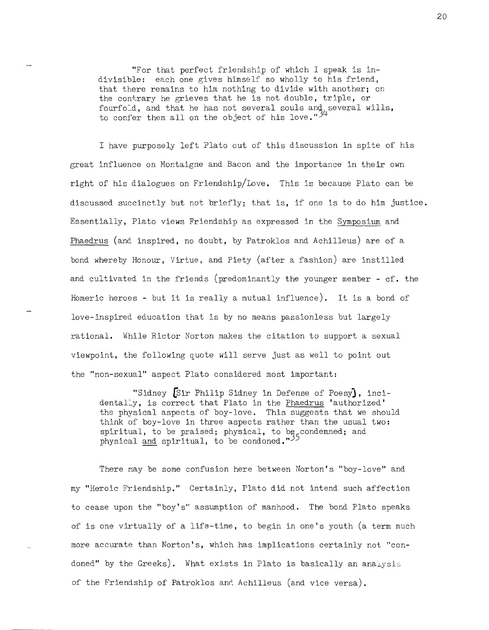"For that perfect friendship of which I speak is indivisible: each one gives himself so wholly to his friend, that there remains to him nothing to divide with another; on the contrary he grieves that he is not double, triple, or fourfold, and that he has not several souls and several wills, to confer them all on the object of his love."<sup>2</sup>

I have purposely left Plato out of this discussion in spite of his great influence on Montaigne and Bacon and the importance in their own right of his dialogues on Friendship/Love. This is because Plato can be discussed succinctly but not briefly; that is, if one is to do him justice. Essentially, Plato views Friendship as expressed in the Symposium and Phaedrus (and inspired, no doubt, by Patroklos and Achilleus) are of a bond whereby Honour, Virtue, and Piety (after a fashion) are instilled and cultivated in the friends (predominantly the younger member - cf. the Homeric heroes - but it is really a mutual influence). It is a bond of love-inspired education that is by no means passionless but largely rational. While Rictor Norton makes the citation to support a sexual viewpoint, the following quote will serve just as well to point out the "non-sexual" aspect Plato considered most important:

"Sidney [Sir Philip Sidney in Defense of Poesy), incidentally, is correct that Plato in the Phaedrus 'authorized' the physical aspects of boy-love. This suggests that we should think of boy-love in three aspects rather than the usual two: spiritual, to be praised; physical, to be condemned; and physical <u>and</u> spiritual, to be condoned."<sup>35</sup>

There may be some confusion here between Norton's "boy-love" and my "Heroic Friendship." Certainly, Plato did not intend such affection to cease upon the "boy's" assumption of manhood. The bond Plato speaks of is one virtually of a life-time, to begin in one's youth (a term much more accurate than Norton's, which has implications certainly not "condoned" by the Greeks). What exists in Plato is basically an analysis of the Friendship of Patroklos and Achilleus (and vice versa).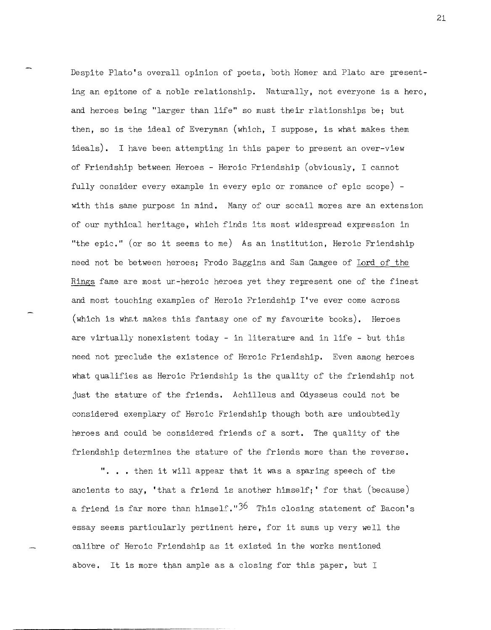Despite Plato's overall opinion of poets, both Homer and Plato are presenting an epitome of a noble relationship. Naturally, not everyone is a hero, and heroes being "larger than life" so must their rlationships be; but then, so is the ideal of Everyman (which, I suppose, is what makes them ideals). I have been attempting in this paper to present an over-view of Friendship between Heroes - Heroic Friendship (obviously, I cannot fully consider every example in every epic or romance of epic scope) with this same purpose in mind. Many of our socail mores are an extension of our mythical heritage, which finds its most widespread expression in "the epic." (or so it seems to me) As an institution, Heroic Friendship need not be between heroes; Frodo Baggins and Sam Gamgee of lord of the Rings fame are most ur-heroic heroes yet they represent one of the finest and most touching examples of Heroic Friendship I've ever come across (which is what makes this fantasy one of my favourite books). Heroes are virtually nonexistent today - in literature and in life - but this need not preclude the existence of Heroic Friendship. Even among heroes what qualifies as Heroic Friendship is the quality of the friendship not just the stature of the friends. Achilleus and Odysseus could not be considered exemplary of Heroic Friendship though both are undoubtedly heroes and could be considered friends of a sort. The quality of the friendship determines the stature of the friends more than the reverse.

". . • then it will appear that it was a sparing speech of the ancients to say, 'that a friend is another himself;' for that (because) a friend is far more than himself." $3^6$  This closing statement of Bacon's essay seems particularly pertinent here, for it sums up very well the calibre of Heroic Friendship as it existed in the works mentioned above. It is more than ample as a closing for this paper, but I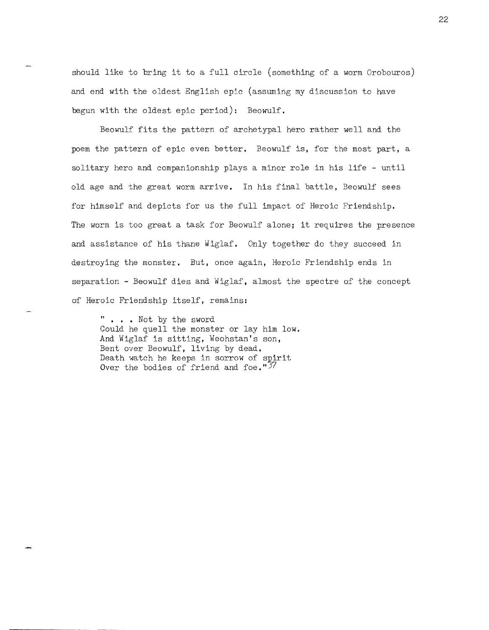should like to bring it to a full circle (something of a worm Orobouros) and end with the oldest English epic (assuming my discussion to have begun with the oldest epic period): Beowulf.

Beowulf fits the pattern of archetypal hero rather well and the poem the pattern of epic even better. Beowulf is, for the most part, a solitary hero and companionship plays a minor role in his life - until old age and the great worm arrive. In his final battle, Beowulf sees for himself and depicts for us the full impact of Heroic Friendship. The worm is too great a task for Beowulf alone; it requires the presence and assistance of his thane Wiglaf. Only together do they succeed in destroying the monster. But, once again, Heroic Friendship ends in separation - Beowulf dies and Wiglaf, almost the spectre of the concept of Heroic Friendship itself, remains:

" • . . Not by the sword Could he quell the monster or lay him low. And Wiglaf is sitting, Weohstan's son, Bent over Beowulf, living by dead. Death watch he keeps in sorrow of spirit Over the bodies of friend and foe."37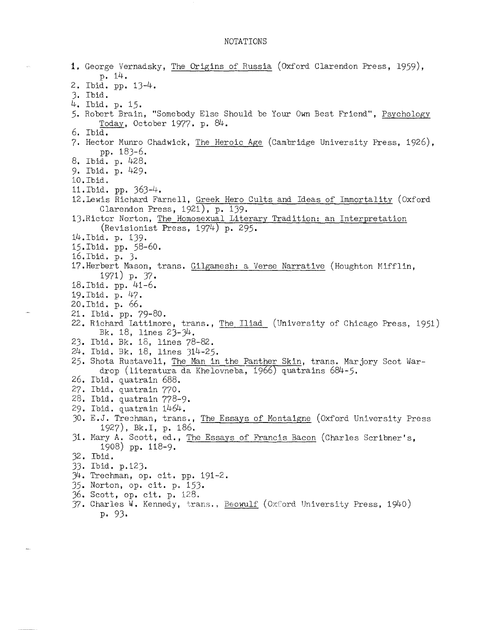## NOTATIONS

 $\bar{\mathcal{L}}$ 

| 1. George Vernadsky, The Origins of Russia (Oxford Clarendon Press, 1959),   |
|------------------------------------------------------------------------------|
| p. 14.                                                                       |
| 2. Ibid. pp. 13-4.                                                           |
| 3. Ibid.                                                                     |
| 4. Ibid. p. 15.                                                              |
| 5. Robert Brain, "Somebody Else Should be Your Own Best Friend", Psychology  |
| Today, October 1977. p. $84$ .                                               |
| 6. Ibid.                                                                     |
| 7. Hector Munro Chadwick, The Heroic Age (Cambridge University Press, 1926), |
| pp. 183-6.                                                                   |
| 8. Ibid. p. 428.                                                             |
| 9. Ibid. p. 429.                                                             |
| 10. Ibid.                                                                    |
| 11. Ibid. pp. 363-4.                                                         |
| 12. Lewis Richard Farnell, Greek Hero Cults and Ideas of Immortality (Oxford |
| Clarendon Press, 1921), p. 139.                                              |
| 13. Rictor Norton, The Homosexual Literary Tradition: an Interpretation      |
| (Revisionist Press, 1974) p. 295.                                            |
| 14.Ibid. p. 139.                                                             |
| 15.Ibid. pp. 58-60.                                                          |
| 16. Ibid. p. 3.                                                              |
| 17. Herbert Mason, trans. Gilgamesh: a Verse Narrative (Houghton Mifflin,    |
| 1971) p. $37.$                                                               |
| 18. Ibid. pp. 41-6.                                                          |
| 19. Ibid. p. 47.                                                             |
| 20.Ibid. p. 66.                                                              |
| 21. Ibid. pp. 79-80.                                                         |
| 22. Richard Lattimore, trans., The Iliad (University of Chicago Press, 1951) |
| Bk. 18, lines $23-34$ .                                                      |
| 23. Ibid. Bk. 18, lines 78-82.                                               |
| 24. Ibid. Bk. 18, lines 314-25.                                              |
| 25. Shota Rustaveli, The Man in the Panther Skin, trans. Marjory Scot War-   |
| drop (literatura da Khelovneba, 1966) quatrains 684-5.                       |
| 26. Ibid. quatrain 688.                                                      |
| 27. Ibid. quatrain 770.                                                      |
| 28. Ibid. quatrain 778-9.                                                    |
| 29. Ibid. quatrain 1464.                                                     |
| 30. E.J. Trechman, trans., The Essays of Montaigne (Oxford University Press  |
| 1927), Bk.I, p. 186.                                                         |
| 31. Mary A. Scott, ed., The Essays of Francis Bacon (Charles Scribner's,     |
| 1908) pp. $118-9$ .                                                          |
| 32. Ibid.                                                                    |
| 33. Ibid. p.123.                                                             |
| $\mathcal{H}$ . Trechman, op. cit. pp. 191-2.                                |
| 35. Norton, op. cit. p. 153.                                                 |
| 36. Scott, op. cit. p. 128.                                                  |
| 37. Charles W. Kennedy, trans., Beowulf (Oxford University Press, 1940)      |
| p.93.                                                                        |
|                                                                              |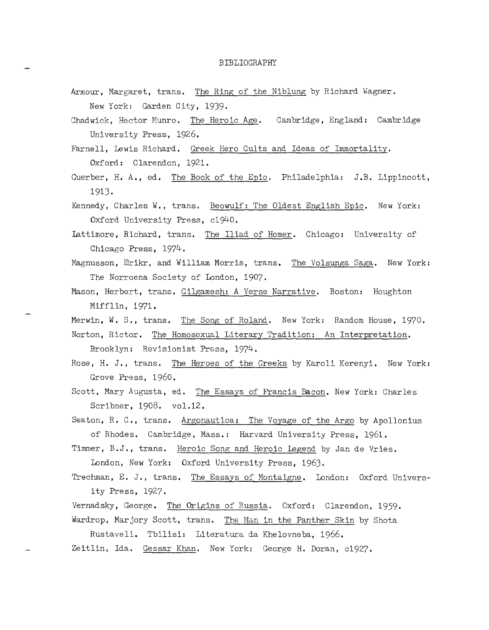## BIBLIOGRAPHY

- Armour, Margaret, trans. The Ring of the Niblung by Richard Wagner. New York: Garden City, 1939.
- Chadwick, Hector Munro. The Heroic Age. Cambridge, England: Cambridge University Press, 1926.
- Farnell, Lewis Richard. Greek Hero Cults and Ideas of Immortality. Oxford: Clarendon, 1921.
- Guerber, H. A., ed. The Book of the Epic. Philadelphia: J.B. Lippincott, 1913.
- Kennedy, Charles W., trans. Beowulf: The Oldest English Epic. New York: Oxford University Press, c1940.
- lattimore, Richard, trans. The Iliad of Homer. Chicago: University of Chicago Press, 1974.
- Magnusson, Erikr, and William Morris, trans. The Volsunga Saga. New York: The Norroena Society of London, 1907.
- Mason, Herbert, trans. Gilgamesh: A Verse Narrative. Boston: Houghton Mifflin, 1971.
- Merwin, W. S., trans. The Song of Roland. New York: Random House, 1970.

Norton, Rictor. The Homosexual Literary Tradition: An Interpretation. Brooklyn: Revisionist Press, 1974.

- Rose, H. J., trans. The Heroes of the Greeks by Karoli Kerenyi. New York: Grove Press, 1960.
- Scott, Mary Augusta, ed. The Essays of Francis Bacon. New York: Charles Scribner, 1908. vol.12.
- Seaton, R. C., trans. Argonautica: The Voyage of the Argo by Apollonius of Rhodes. Cambridge, Mass.: Harvard University Press, 1961.
- Timmer, B.J., trans. Heroic Song and Heroic Legend by Jan de Vries. London, New York: Oxford University Press, 1963.
- Trechman, E. J., trans. The Essays of Montaigne. London: Oxford University Press, 1927.
- Vernadsky, George. The Origins of Russia. Oxford: Clarendon, 1959. Wardrop, Marjory Scott, trans. The Man in the Panther Skin by Shota
- Rustaveli. Tbilisi: Literatura da Khelovneba, 1966.
- Zeitlin, Ida. Gessar Khan. New York: George H. Doran, c1927.